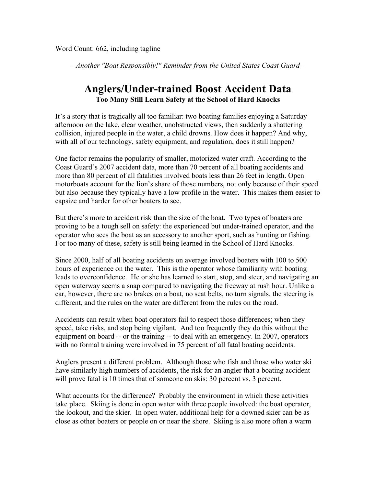*– Another "Boat Responsibly!" Reminder from the United States Coast Guard –*

## **Anglers/Under-trained Boost Accident Data Too Many Still Learn Safety at the School of Hard Knocks**

It's a story that is tragically all too familiar: two boating families enjoying a Saturday afternoon on the lake, clear weather, unobstructed views, then suddenly a shattering collision, injured people in the water, a child drowns. How does it happen? And why, with all of our technology, safety equipment, and regulation, does it still happen?

One factor remains the popularity of smaller, motorized water craft. According to the Coast Guard's 2007 accident data, more than 70 percent of all boating accidents and more than 80 percent of all fatalities involved boats less than 26 feet in length. Open motorboats account for the lion's share of those numbers, not only because of their speed but also because they typically have a low profile in the water. This makes them easier to capsize and harder for other boaters to see.

But there's more to accident risk than the size of the boat. Two types of boaters are proving to be a tough sell on safety: the experienced but under-trained operator, and the operator who sees the boat as an accessory to another sport, such as hunting or fishing. For too many of these, safety is still being learned in the School of Hard Knocks.

Since 2000, half of all boating accidents on average involved boaters with 100 to 500 hours of experience on the water. This is the operator whose familiarity with boating leads to overconfidence. He or she has learned to start, stop, and steer, and navigating an open waterway seems a snap compared to navigating the freeway at rush hour. Unlike a car, however, there are no brakes on a boat, no seat belts, no turn signals. the steering is different, and the rules on the water are different from the rules on the road.

Accidents can result when boat operators fail to respect those differences; when they speed, take risks, and stop being vigilant. And too frequently they do this without the equipment on board -- or the training -- to deal with an emergency. In 2007, operators with no formal training were involved in 75 percent of all fatal boating accidents.

Anglers present a different problem. Although those who fish and those who water ski have similarly high numbers of accidents, the risk for an angler that a boating accident will prove fatal is 10 times that of someone on skis: 30 percent vs. 3 percent.

What accounts for the difference? Probably the environment in which these activities take place. Skiing is done in open water with three people involved: the boat operator, the lookout, and the skier. In open water, additional help for a downed skier can be as close as other boaters or people on or near the shore. Skiing is also more often a warm